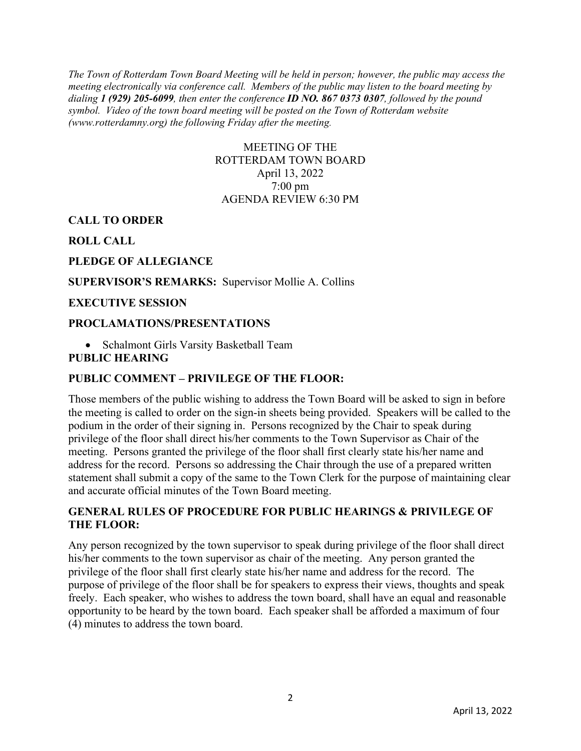*The Town of Rotterdam Town Board Meeting will be held in person; however, the public may access the meeting electronically via conference call. Members of the public may listen to the board meeting by dialing 1 (929) 205-6099, then enter the conference ID NO. 867 0373 0307, followed by the pound symbol. Video of the town board meeting will be posted on the Town of Rotterdam website (www.rotterdamny.org) the following Friday after the meeting.*

# MEETING OF THE ROTTERDAM TOWN BOARD April 13, 2022 7:00 pm AGENDA REVIEW 6:30 PM

### **CALL TO ORDER**

**ROLL CALL**

### **PLEDGE OF ALLEGIANCE**

#### **SUPERVISOR'S REMARKS:** Supervisor Mollie A. Collins

#### **EXECUTIVE SESSION**

#### **PROCLAMATIONS/PRESENTATIONS**

• Schalmont Girls Varsity Basketball Team

#### **PUBLIC HEARING**

### **PUBLIC COMMENT – PRIVILEGE OF THE FLOOR:**

Those members of the public wishing to address the Town Board will be asked to sign in before the meeting is called to order on the sign-in sheets being provided. Speakers will be called to the podium in the order of their signing in. Persons recognized by the Chair to speak during privilege of the floor shall direct his/her comments to the Town Supervisor as Chair of the meeting. Persons granted the privilege of the floor shall first clearly state his/her name and address for the record. Persons so addressing the Chair through the use of a prepared written statement shall submit a copy of the same to the Town Clerk for the purpose of maintaining clear and accurate official minutes of the Town Board meeting.

# **GENERAL RULES OF PROCEDURE FOR PUBLIC HEARINGS & PRIVILEGE OF THE FLOOR:**

Any person recognized by the town supervisor to speak during privilege of the floor shall direct his/her comments to the town supervisor as chair of the meeting. Any person granted the privilege of the floor shall first clearly state his/her name and address for the record. The purpose of privilege of the floor shall be for speakers to express their views, thoughts and speak freely. Each speaker, who wishes to address the town board, shall have an equal and reasonable opportunity to be heard by the town board. Each speaker shall be afforded a maximum of four (4) minutes to address the town board.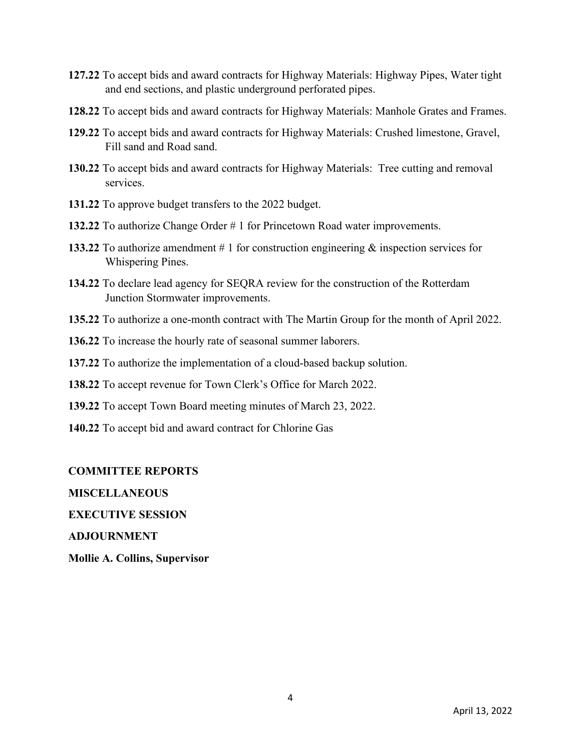- **127.22** To accept bids and award contracts for Highway Materials: Highway Pipes, Water tight and end sections, and plastic underground perforated pipes.
- **128.22** To accept bids and award contracts for Highway Materials: Manhole Grates and Frames.
- **129.22** To accept bids and award contracts for Highway Materials: Crushed limestone, Gravel, Fill sand and Road sand.
- **130.22** To accept bids and award contracts for Highway Materials: Tree cutting and removal services.
- **131.22** To approve budget transfers to the 2022 budget.
- **132.22** To authorize Change Order # 1 for Princetown Road water improvements.
- **133.22** To authorize amendment # 1 for construction engineering & inspection services for Whispering Pines.
- **134.22** To declare lead agency for SEQRA review for the construction of the Rotterdam Junction Stormwater improvements.
- **135.22** To authorize a one-month contract with The Martin Group for the month of April 2022.
- **136.22** To increase the hourly rate of seasonal summer laborers.
- **137.22** To authorize the implementation of a cloud-based backup solution.
- **138.22** To accept revenue for Town Clerk's Office for March 2022.
- **139.22** To accept Town Board meeting minutes of March 23, 2022.
- **140.22** To accept bid and award contract for Chlorine Gas

#### **COMMITTEE REPORTS**

**MISCELLANEOUS** 

**EXECUTIVE SESSION** 

**ADJOURNMENT**

**Mollie A. Collins, Supervisor**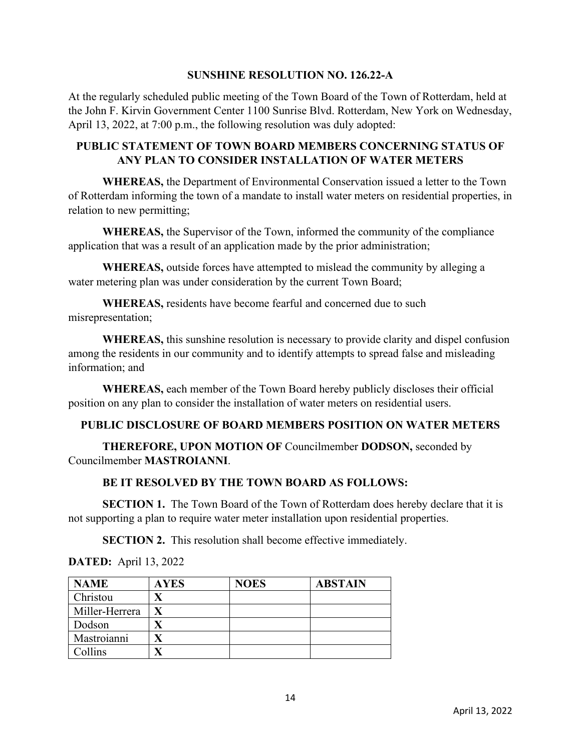### **SUNSHINE RESOLUTION NO. 126.22-A**

At the regularly scheduled public meeting of the Town Board of the Town of Rotterdam, held at the John F. Kirvin Government Center 1100 Sunrise Blvd. Rotterdam, New York on Wednesday, April 13, 2022, at 7:00 p.m., the following resolution was duly adopted:

# **PUBLIC STATEMENT OF TOWN BOARD MEMBERS CONCERNING STATUS OF ANY PLAN TO CONSIDER INSTALLATION OF WATER METERS**

 **WHEREAS,** the Department of Environmental Conservation issued a letter to the Town of Rotterdam informing the town of a mandate to install water meters on residential properties, in relation to new permitting;

**WHEREAS,** the Supervisor of the Town, informed the community of the compliance application that was a result of an application made by the prior administration;

**WHEREAS,** outside forces have attempted to mislead the community by alleging a water metering plan was under consideration by the current Town Board;

**WHEREAS,** residents have become fearful and concerned due to such misrepresentation;

**WHEREAS,** this sunshine resolution is necessary to provide clarity and dispel confusion among the residents in our community and to identify attempts to spread false and misleading information; and

**WHEREAS,** each member of the Town Board hereby publicly discloses their official position on any plan to consider the installation of water meters on residential users.

# **PUBLIC DISCLOSURE OF BOARD MEMBERS POSITION ON WATER METERS**

 **THEREFORE, UPON MOTION OF** Councilmember **DODSON,** seconded by Councilmember **MASTROIANNI**.

# **BE IT RESOLVED BY THE TOWN BOARD AS FOLLOWS:**

**SECTION 1.** The Town Board of the Town of Rotterdam does hereby declare that it is not supporting a plan to require water meter installation upon residential properties.

**SECTION 2.** This resolution shall become effective immediately.

| <b>NAME</b>    | <b>AYES</b> | <b>NOES</b> | <b>ABSTAIN</b> |
|----------------|-------------|-------------|----------------|
| Christou       |             |             |                |
| Miller-Herrera |             |             |                |
| Dodson         |             |             |                |
| Mastroianni    |             |             |                |
| Collins        |             |             |                |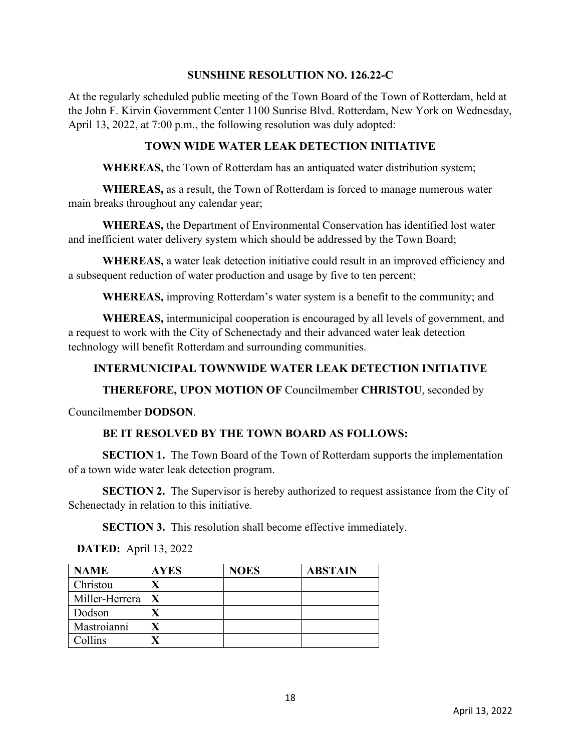### **SUNSHINE RESOLUTION NO. 126.22-C**

At the regularly scheduled public meeting of the Town Board of the Town of Rotterdam, held at the John F. Kirvin Government Center 1100 Sunrise Blvd. Rotterdam, New York on Wednesday, April 13, 2022, at 7:00 p.m., the following resolution was duly adopted:

# **TOWN WIDE WATER LEAK DETECTION INITIATIVE**

 **WHEREAS,** the Town of Rotterdam has an antiquated water distribution system;

**WHEREAS,** as a result, the Town of Rotterdam is forced to manage numerous water main breaks throughout any calendar year;

**WHEREAS,** the Department of Environmental Conservation has identified lost water and inefficient water delivery system which should be addressed by the Town Board;

**WHEREAS,** a water leak detection initiative could result in an improved efficiency and a subsequent reduction of water production and usage by five to ten percent;

**WHEREAS,** improving Rotterdam's water system is a benefit to the community; and

**WHEREAS,** intermunicipal cooperation is encouraged by all levels of government, and a request to work with the City of Schenectady and their advanced water leak detection technology will benefit Rotterdam and surrounding communities.

# **INTERMUNICIPAL TOWNWIDE WATER LEAK DETECTION INITIATIVE**

**THEREFORE, UPON MOTION OF** Councilmember **CHRISTOU**, seconded by

Councilmember **DODSON**.

# **BE IT RESOLVED BY THE TOWN BOARD AS FOLLOWS:**

**SECTION 1.** The Town Board of the Town of Rotterdam supports the implementation of a town wide water leak detection program.

**SECTION 2.** The Supervisor is hereby authorized to request assistance from the City of Schenectady in relation to this initiative.

**SECTION 3.** This resolution shall become effective immediately.

| <b>NAME</b>    | <b>AYES</b> | <b>NOES</b> | <b>ABSTAIN</b> |
|----------------|-------------|-------------|----------------|
| Christou       |             |             |                |
| Miller-Herrera |             |             |                |
| Dodson         |             |             |                |
| Mastroianni    |             |             |                |
| Collins        |             |             |                |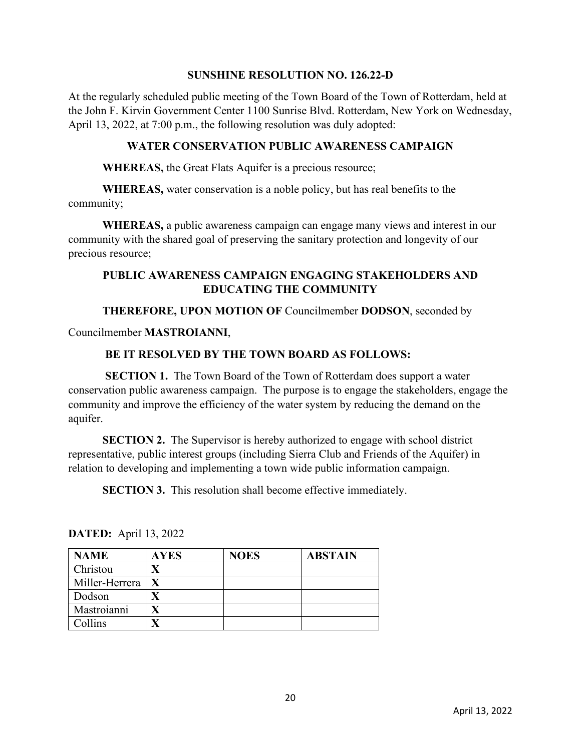### **SUNSHINE RESOLUTION NO. 126.22-D**

At the regularly scheduled public meeting of the Town Board of the Town of Rotterdam, held at the John F. Kirvin Government Center 1100 Sunrise Blvd. Rotterdam, New York on Wednesday, April 13, 2022, at 7:00 p.m., the following resolution was duly adopted:

### **WATER CONSERVATION PUBLIC AWARENESS CAMPAIGN**

**WHEREAS,** the Great Flats Aquifer is a precious resource;

**WHEREAS,** water conservation is a noble policy, but has real benefits to the community;

**WHEREAS,** a public awareness campaign can engage many views and interest in our community with the shared goal of preserving the sanitary protection and longevity of our precious resource;

# **PUBLIC AWARENESS CAMPAIGN ENGAGING STAKEHOLDERS AND EDUCATING THE COMMUNITY**

### **THEREFORE, UPON MOTION OF** Councilmember **DODSON**, seconded by

Councilmember **MASTROIANNI**,

# **BE IT RESOLVED BY THE TOWN BOARD AS FOLLOWS:**

**SECTION 1.** The Town Board of the Town of Rotterdam does support a water conservation public awareness campaign. The purpose is to engage the stakeholders, engage the community and improve the efficiency of the water system by reducing the demand on the aquifer.

**SECTION 2.** The Supervisor is hereby authorized to engage with school district representative, public interest groups (including Sierra Club and Friends of the Aquifer) in relation to developing and implementing a town wide public information campaign.

**SECTION 3.** This resolution shall become effective immediately.

| <b>NAME</b>    | <b>AYES</b> | <b>NOES</b> | <b>ABSTAIN</b> |
|----------------|-------------|-------------|----------------|
| Christou       |             |             |                |
| Miller-Herrera |             |             |                |
| Dodson         |             |             |                |
| Mastroianni    |             |             |                |
| Collins        |             |             |                |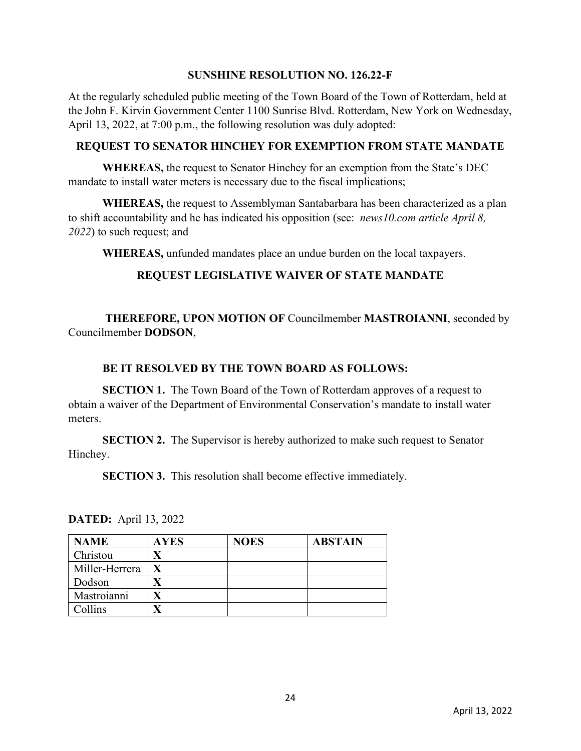### **SUNSHINE RESOLUTION NO. 126.22-F**

At the regularly scheduled public meeting of the Town Board of the Town of Rotterdam, held at the John F. Kirvin Government Center 1100 Sunrise Blvd. Rotterdam, New York on Wednesday, April 13, 2022, at 7:00 p.m., the following resolution was duly adopted:

# **REQUEST TO SENATOR HINCHEY FOR EXEMPTION FROM STATE MANDATE**

**WHEREAS,** the request to Senator Hinchey for an exemption from the State's DEC mandate to install water meters is necessary due to the fiscal implications;

**WHEREAS,** the request to Assemblyman Santabarbara has been characterized as a plan to shift accountability and he has indicated his opposition (see: *news10.com article April 8, 2022*) to such request; and

**WHEREAS,** unfunded mandates place an undue burden on the local taxpayers.

# **REQUEST LEGISLATIVE WAIVER OF STATE MANDATE**

 **THEREFORE, UPON MOTION OF** Councilmember **MASTROIANNI**, seconded by Councilmember **DODSON**,

# **BE IT RESOLVED BY THE TOWN BOARD AS FOLLOWS:**

**SECTION 1.** The Town Board of the Town of Rotterdam approves of a request to obtain a waiver of the Department of Environmental Conservation's mandate to install water meters.

**SECTION 2.** The Supervisor is hereby authorized to make such request to Senator Hinchey.

**SECTION 3.** This resolution shall become effective immediately.

| <b>NAME</b>    | <b>AYES</b> | <b>NOES</b> | <b>ABSTAIN</b> |
|----------------|-------------|-------------|----------------|
| Christou       |             |             |                |
| Miller-Herrera |             |             |                |
| Dodson         |             |             |                |
| Mastroianni    |             |             |                |
| Collins        |             |             |                |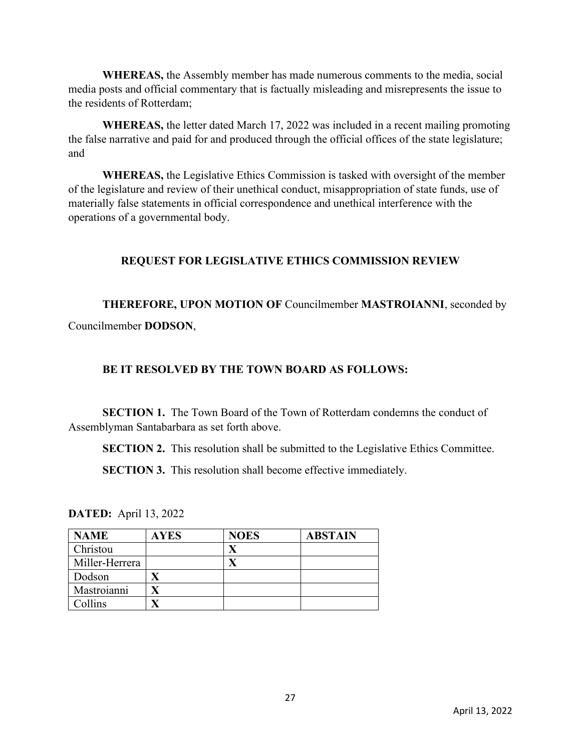**WHEREAS,** the Assembly member has made numerous comments to the media, social media posts and official commentary that is factually misleading and misrepresents the issue to the residents of Rotterdam;

**WHEREAS,** the letter dated March 17, 2022 was included in a recent mailing promoting the false narrative and paid for and produced through the official offices of the state legislature; and

**WHEREAS,** the Legislative Ethics Commission is tasked with oversight of the member of the legislature and review of their unethical conduct, misappropriation of state funds, use of materially false statements in official correspondence and unethical interference with the operations of a governmental body.

# **REQUEST FOR LEGISLATIVE ETHICS COMMISSION REVIEW**

**THEREFORE, UPON MOTION OF** Councilmember **MASTROIANNI**, seconded by Councilmember **DODSON**,

### **BE IT RESOLVED BY THE TOWN BOARD AS FOLLOWS:**

**SECTION 1.** The Town Board of the Town of Rotterdam condemns the conduct of Assemblyman Santabarbara as set forth above.

**SECTION 2.** This resolution shall be submitted to the Legislative Ethics Committee.

**SECTION 3.** This resolution shall become effective immediately.

| <b>NAME</b>    | <b>AYES</b> | <b>NOES</b> | <b>ABSTAIN</b> |
|----------------|-------------|-------------|----------------|
| Christou       |             |             |                |
| Miller-Herrera |             |             |                |
| Dodson         |             |             |                |
| Mastroianni    |             |             |                |
| Collins        |             |             |                |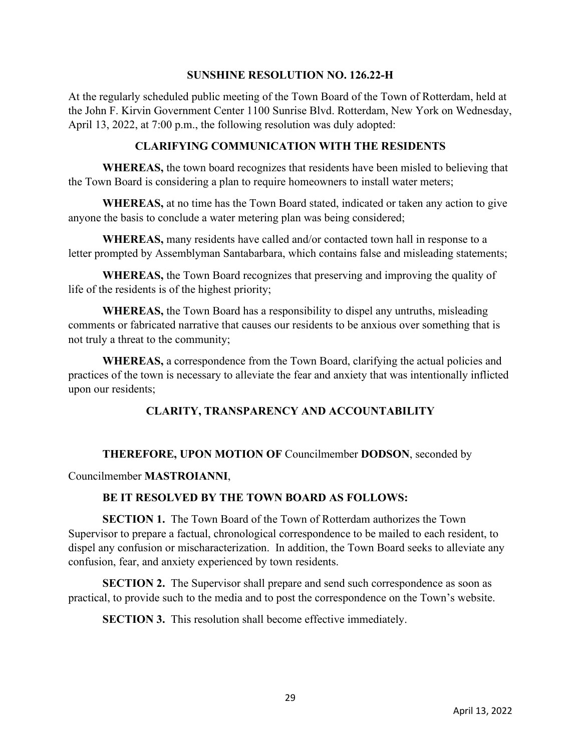### **SUNSHINE RESOLUTION NO. 126.22-H**

At the regularly scheduled public meeting of the Town Board of the Town of Rotterdam, held at the John F. Kirvin Government Center 1100 Sunrise Blvd. Rotterdam, New York on Wednesday, April 13, 2022, at 7:00 p.m., the following resolution was duly adopted:

# **CLARIFYING COMMUNICATION WITH THE RESIDENTS**

**WHEREAS,** the town board recognizes that residents have been misled to believing that the Town Board is considering a plan to require homeowners to install water meters;

**WHEREAS,** at no time has the Town Board stated, indicated or taken any action to give anyone the basis to conclude a water metering plan was being considered;

**WHEREAS,** many residents have called and/or contacted town hall in response to a letter prompted by Assemblyman Santabarbara, which contains false and misleading statements;

**WHEREAS,** the Town Board recognizes that preserving and improving the quality of life of the residents is of the highest priority;

**WHEREAS,** the Town Board has a responsibility to dispel any untruths, misleading comments or fabricated narrative that causes our residents to be anxious over something that is not truly a threat to the community;

**WHEREAS,** a correspondence from the Town Board, clarifying the actual policies and practices of the town is necessary to alleviate the fear and anxiety that was intentionally inflicted upon our residents;

# **CLARITY, TRANSPARENCY AND ACCOUNTABILITY**

# **THEREFORE, UPON MOTION OF** Councilmember **DODSON**, seconded by

### Councilmember **MASTROIANNI**,

# **BE IT RESOLVED BY THE TOWN BOARD AS FOLLOWS:**

 **SECTION 1.** The Town Board of the Town of Rotterdam authorizes the Town Supervisor to prepare a factual, chronological correspondence to be mailed to each resident, to dispel any confusion or mischaracterization. In addition, the Town Board seeks to alleviate any confusion, fear, and anxiety experienced by town residents.

**SECTION 2.** The Supervisor shall prepare and send such correspondence as soon as practical, to provide such to the media and to post the correspondence on the Town's website.

**SECTION 3.** This resolution shall become effective immediately.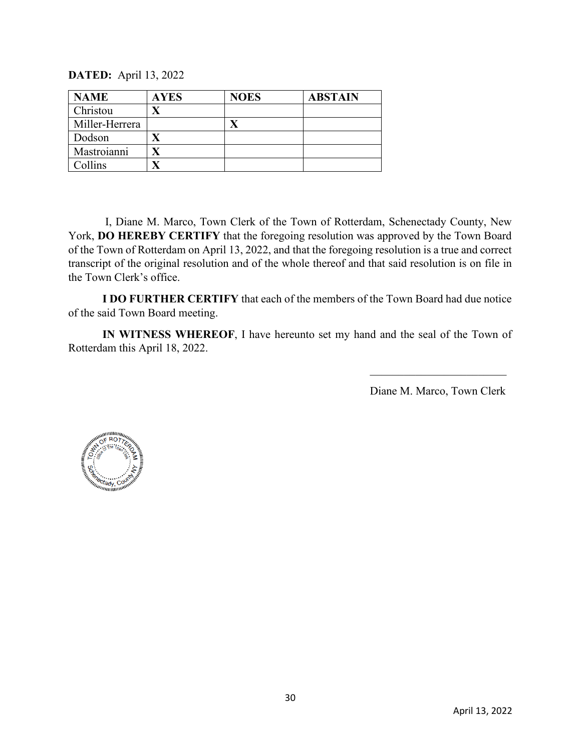**DATED:** April 13, 2022

| <b>NAME</b>    | <b>AYES</b> | <b>NOES</b> | <b>ABSTAIN</b> |
|----------------|-------------|-------------|----------------|
| Christou       |             |             |                |
| Miller-Herrera |             |             |                |
| Dodson         |             |             |                |
| Mastroianni    |             |             |                |
| Collins        |             |             |                |

 **I DO FURTHER CERTIFY** that each of the members of the Town Board had due notice of the said Town Board meeting.

 **IN WITNESS WHEREOF**, I have hereunto set my hand and the seal of the Town of Rotterdam this April 18, 2022.



Type text here

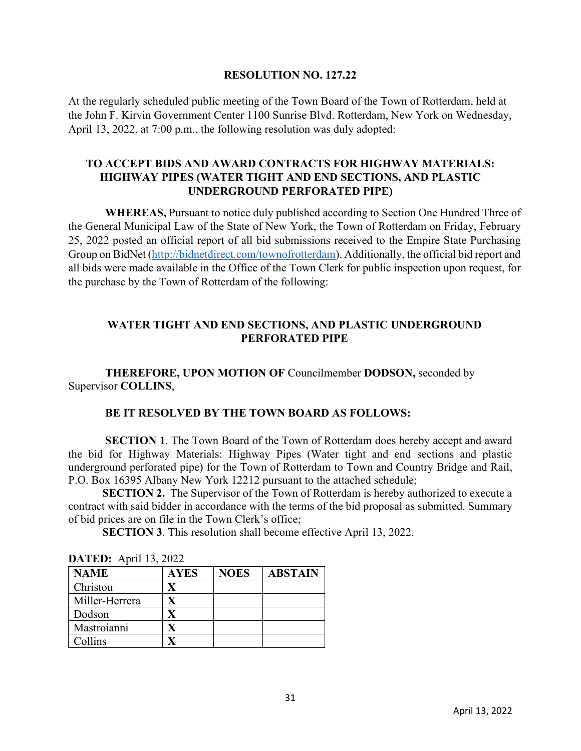#### **RESOLUTION NO. 127.22**

At the regularly scheduled public meeting of the Town Board of the Town of Rotterdam, held at the John F. Kirvin Government Center 1100 Sunrise Blvd. Rotterdam, New York on Wednesday, April 13, 2022, at 7:00 p.m., the following resolution was duly adopted:

# **TO ACCEPT BIDS AND AWARD CONTRACTS FOR HIGHWAY MATERIALS: HIGHWAY PIPES (WATER TIGHT AND END SECTIONS, AND PLASTIC UNDERGROUND PERFORATED PIPE)**

 **WHEREAS,** Pursuant to notice duly published according to Section One Hundred Three of the General Municipal Law of the State of New York, the Town of Rotterdam on Friday, February 25, 2022 posted an official report of all bid submissions received to the Empire State Purchasing Group on BidNet [\(http://bidnetdirect.com/townofrotterdam\)](http://bidnetdirect.com/townofrotterdam). Additionally, the official bid report and all bids were made available in the Office of the Town Clerk for public inspection upon request, for the purchase by the Town of Rotterdam of the following:

# **WATER TIGHT AND END SECTIONS, AND PLASTIC UNDERGROUND PERFORATED PIPE**

 **THEREFORE, UPON MOTION OF** Councilmember **DODSON,** seconded by Supervisor **COLLINS**,

### **BE IT RESOLVED BY THE TOWN BOARD AS FOLLOWS:**

 **SECTION 1**. The Town Board of the Town of Rotterdam does hereby accept and award the bid for Highway Materials: Highway Pipes (Water tight and end sections and plastic underground perforated pipe) for the Town of Rotterdam to Town and Country Bridge and Rail, P.O. Box 16395 Albany New York 12212 pursuant to the attached schedule;

**SECTION 2.** The Supervisor of the Town of Rotterdam is hereby authorized to execute a contract with said bidder in accordance with the terms of the bid proposal as submitted. Summary of bid prices are on file in the Town Clerk's office;

 **SECTION 3**. This resolution shall become effective April 13, 2022.

| <b>NAME</b>    | <b>AYES</b> | <b>NOES</b> | <b>ABSTAIN</b> |
|----------------|-------------|-------------|----------------|
| Christou       |             |             |                |
| Miller-Herrera |             |             |                |
| Dodson         |             |             |                |
| Mastroianni    |             |             |                |
| Collins        |             |             |                |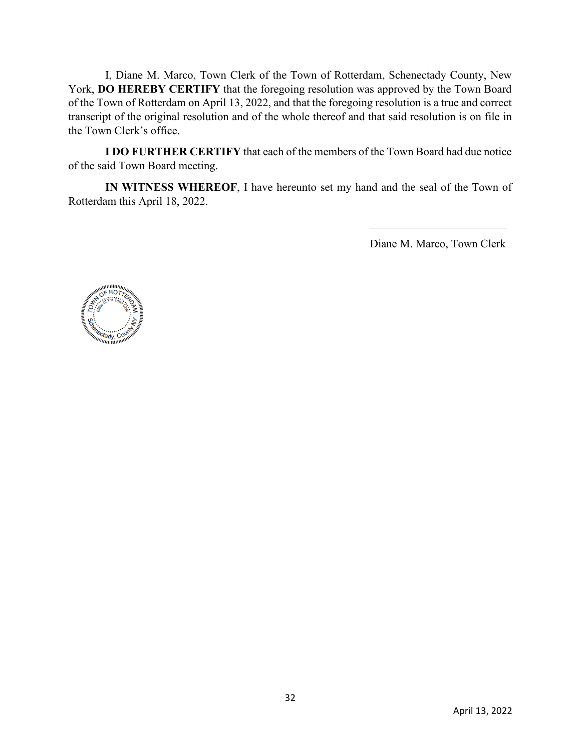**I DO FURTHER CERTIFY** that each of the members of the Town Board had due notice of the said Town Board meeting.

 **IN WITNESS WHEREOF**, I have hereunto set my hand and the seal of the Town of Rotterdam this April 18, 2022.

Diane M. Marco

Diane M. Marco, Town Clerk



Type text here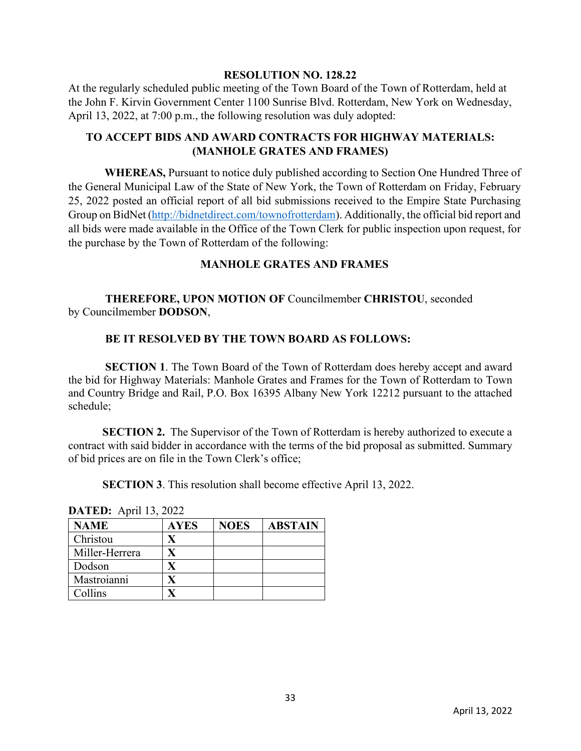#### **RESOLUTION NO. 128.22**

At the regularly scheduled public meeting of the Town Board of the Town of Rotterdam, held at the John F. Kirvin Government Center 1100 Sunrise Blvd. Rotterdam, New York on Wednesday, April 13, 2022, at 7:00 p.m., the following resolution was duly adopted:

# **TO ACCEPT BIDS AND AWARD CONTRACTS FOR HIGHWAY MATERIALS: (MANHOLE GRATES AND FRAMES)**

**WHEREAS,** Pursuant to notice duly published according to Section One Hundred Three of the General Municipal Law of the State of New York, the Town of Rotterdam on Friday, February 25, 2022 posted an official report of all bid submissions received to the Empire State Purchasing Group on BidNet [\(http://bidnetdirect.com/townofrotterdam\)](http://bidnetdirect.com/townofrotterdam). Additionally, the official bid report and all bids were made available in the Office of the Town Clerk for public inspection upon request, for the purchase by the Town of Rotterdam of the following:

# **MANHOLE GRATES AND FRAMES**

 **THEREFORE, UPON MOTION OF** Councilmember **CHRISTOU**, seconded by Councilmember **DODSON**,

### **BE IT RESOLVED BY THE TOWN BOARD AS FOLLOWS:**

 **SECTION 1**. The Town Board of the Town of Rotterdam does hereby accept and award the bid for Highway Materials: Manhole Grates and Frames for the Town of Rotterdam to Town and Country Bridge and Rail, P.O. Box 16395 Albany New York 12212 pursuant to the attached schedule;

**SECTION 2.** The Supervisor of the Town of Rotterdam is hereby authorized to execute a contract with said bidder in accordance with the terms of the bid proposal as submitted. Summary of bid prices are on file in the Town Clerk's office;

**SECTION 3**. This resolution shall become effective April 13, 2022.

| <b>NAME</b>    | <b>AYES</b> | <b>NOES</b> | <b>ABSTAIN</b> |
|----------------|-------------|-------------|----------------|
| Christou       |             |             |                |
| Miller-Herrera |             |             |                |
| Dodson         |             |             |                |
| Mastroianni    |             |             |                |
| Collins        |             |             |                |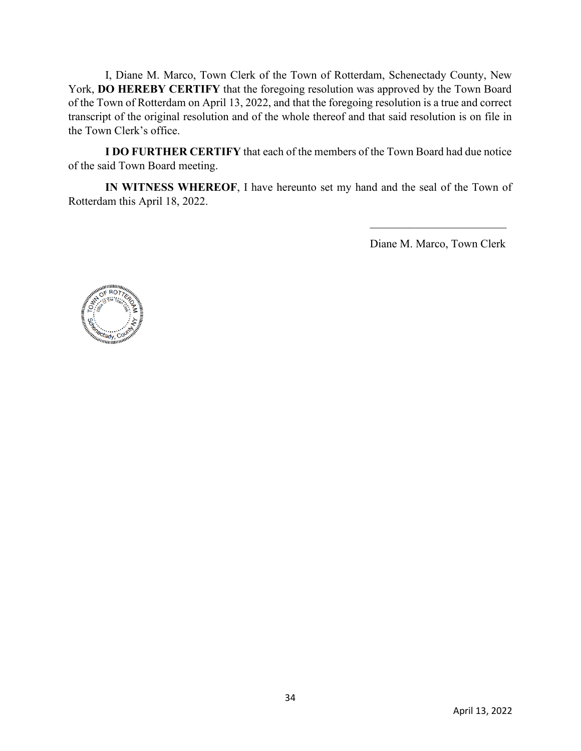**I DO FURTHER CERTIFY** that each of the members of the Town Board had due notice of the said Town Board meeting.

 **IN WITNESS WHEREOF**, I have hereunto set my hand and the seal of the Town of Rotterdam this April 18, 2022.

Diane M. Marco

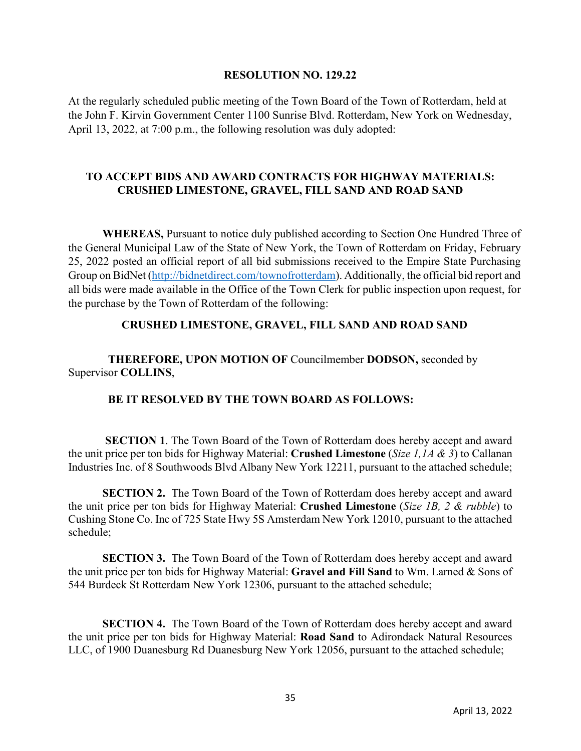#### **RESOLUTION NO. 129.22**

At the regularly scheduled public meeting of the Town Board of the Town of Rotterdam, held at the John F. Kirvin Government Center 1100 Sunrise Blvd. Rotterdam, New York on Wednesday, April 13, 2022, at 7:00 p.m., the following resolution was duly adopted:

# **TO ACCEPT BIDS AND AWARD CONTRACTS FOR HIGHWAY MATERIALS: CRUSHED LIMESTONE, GRAVEL, FILL SAND AND ROAD SAND**

 **WHEREAS,** Pursuant to notice duly published according to Section One Hundred Three of the General Municipal Law of the State of New York, the Town of Rotterdam on Friday, February 25, 2022 posted an official report of all bid submissions received to the Empire State Purchasing Group on BidNet [\(http://bidnetdirect.com/townofrotterdam\)](http://bidnetdirect.com/townofrotterdam). Additionally, the official bid report and all bids were made available in the Office of the Town Clerk for public inspection upon request, for the purchase by the Town of Rotterdam of the following:

#### **CRUSHED LIMESTONE, GRAVEL, FILL SAND AND ROAD SAND**

 **THEREFORE, UPON MOTION OF** Councilmember **DODSON,** seconded by Supervisor **COLLINS**,

### **BE IT RESOLVED BY THE TOWN BOARD AS FOLLOWS:**

 **SECTION 1**. The Town Board of the Town of Rotterdam does hereby accept and award the unit price per ton bids for Highway Material: **Crushed Limestone** (*Size 1,1A & 3*) to Callanan Industries Inc. of 8 Southwoods Blvd Albany New York 12211, pursuant to the attached schedule;

**SECTION 2.** The Town Board of the Town of Rotterdam does hereby accept and award the unit price per ton bids for Highway Material: **Crushed Limestone** (*Size 1B, 2 & rubble*) to Cushing Stone Co. Inc of 725 State Hwy 5S Amsterdam New York 12010, pursuant to the attached schedule;

**SECTION 3.** The Town Board of the Town of Rotterdam does hereby accept and award the unit price per ton bids for Highway Material: **Gravel and Fill Sand** to Wm. Larned & Sons of 544 Burdeck St Rotterdam New York 12306, pursuant to the attached schedule;

**SECTION 4.** The Town Board of the Town of Rotterdam does hereby accept and award the unit price per ton bids for Highway Material: **Road Sand** to Adirondack Natural Resources LLC, of 1900 Duanesburg Rd Duanesburg New York 12056, pursuant to the attached schedule;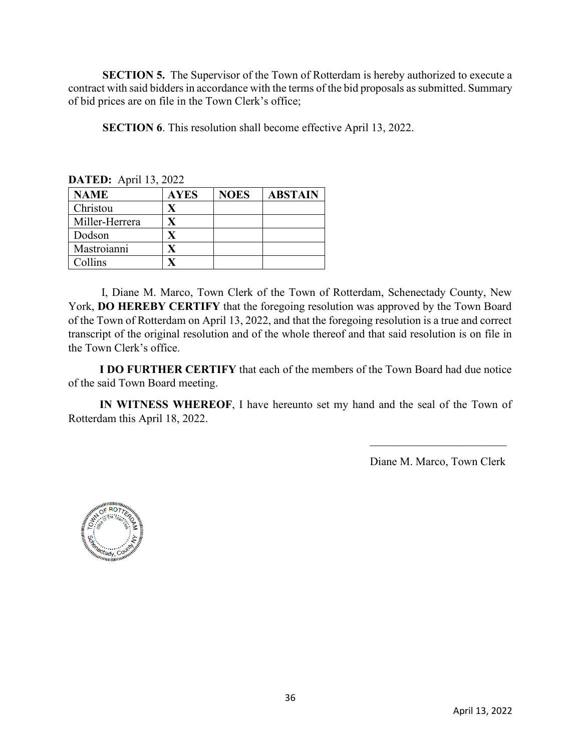**SECTION 5.** The Supervisor of the Town of Rotterdam is hereby authorized to execute a contract with said bidders in accordance with the terms of the bid proposals as submitted. Summary of bid prices are on file in the Town Clerk's office;

**SECTION 6**. This resolution shall become effective April 13, 2022.

| <b>DATED:</b> April 13, $2022$ |             |             |                |  |
|--------------------------------|-------------|-------------|----------------|--|
| <b>NAME</b>                    | <b>AYES</b> | <b>NOES</b> | <b>ABSTAIN</b> |  |
| Christou                       |             |             |                |  |
| Miller-Herrera                 | X           |             |                |  |
| Dodson                         |             |             |                |  |
| Mastroianni                    |             |             |                |  |
| Collins                        |             |             |                |  |

**DATED:** April 12, 2022

 I, Diane M. Marco, Town Clerk of the Town of Rotterdam, Schenectady County, New York, **DO HEREBY CERTIFY** that the foregoing resolution was approved by the Town Board of the Town of Rotterdam on April 13, 2022, and that the foregoing resolution is a true and correct transcript of the original resolution and of the whole thereof and that said resolution is on file in the Town Clerk's office.

 **I DO FURTHER CERTIFY** that each of the members of the Town Board had due notice of the said Town Board meeting.

 **IN WITNESS WHEREOF**, I have hereunto set my hand and the seal of the Town of Rotterdam this April 18, 2022.

Diane M. Marco

Diane M. Marco, Town Clerk

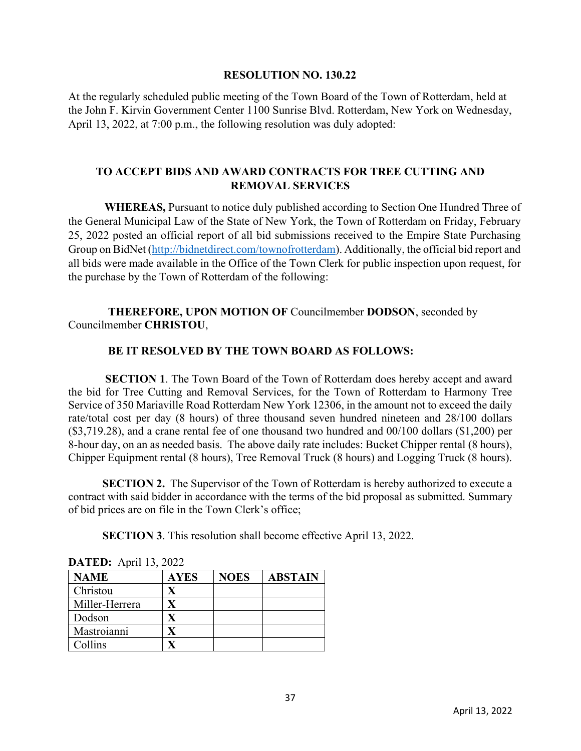#### **RESOLUTION NO. 130.22**

At the regularly scheduled public meeting of the Town Board of the Town of Rotterdam, held at the John F. Kirvin Government Center 1100 Sunrise Blvd. Rotterdam, New York on Wednesday, April 13, 2022, at 7:00 p.m., the following resolution was duly adopted:

# **TO ACCEPT BIDS AND AWARD CONTRACTS FOR TREE CUTTING AND REMOVAL SERVICES**

**WHEREAS,** Pursuant to notice duly published according to Section One Hundred Three of the General Municipal Law of the State of New York, the Town of Rotterdam on Friday, February 25, 2022 posted an official report of all bid submissions received to the Empire State Purchasing Group on BidNet [\(http://bidnetdirect.com/townofrotterdam\)](http://bidnetdirect.com/townofrotterdam). Additionally, the official bid report and all bids were made available in the Office of the Town Clerk for public inspection upon request, for the purchase by the Town of Rotterdam of the following:

### **THEREFORE, UPON MOTION OF** Councilmember **DODSON**, seconded by Councilmember **CHRISTOU**,

# **BE IT RESOLVED BY THE TOWN BOARD AS FOLLOWS:**

 **SECTION 1**. The Town Board of the Town of Rotterdam does hereby accept and award the bid for Tree Cutting and Removal Services, for the Town of Rotterdam to Harmony Tree Service of 350 Mariaville Road Rotterdam New York 12306, in the amount not to exceed the daily rate/total cost per day (8 hours) of three thousand seven hundred nineteen and 28/100 dollars (\$3,719.28), and a crane rental fee of one thousand two hundred and 00/100 dollars (\$1,200) per 8-hour day, on an as needed basis. The above daily rate includes: Bucket Chipper rental (8 hours), Chipper Equipment rental (8 hours), Tree Removal Truck (8 hours) and Logging Truck (8 hours).

**SECTION 2.** The Supervisor of the Town of Rotterdam is hereby authorized to execute a contract with said bidder in accordance with the terms of the bid proposal as submitted. Summary of bid prices are on file in the Town Clerk's office;

**SECTION 3**. This resolution shall become effective April 13, 2022.

| <b>NAME</b>    | <b>AYES</b> | <b>NOES</b> | <b>ABSTAIN</b> |
|----------------|-------------|-------------|----------------|
| Christou       |             |             |                |
| Miller-Herrera |             |             |                |
| Dodson         |             |             |                |
| Mastroianni    |             |             |                |
| Collins        |             |             |                |

| <b>DATED:</b> April 13, 2022 |  |  |  |
|------------------------------|--|--|--|
|------------------------------|--|--|--|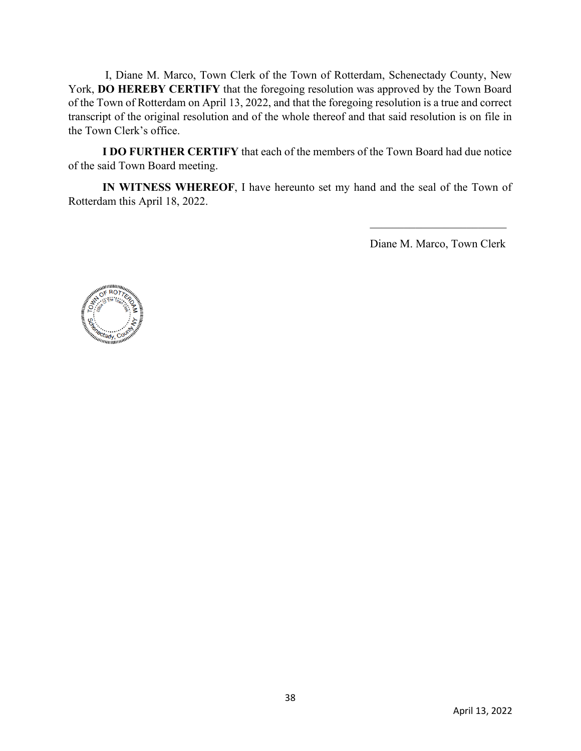**I DO FURTHER CERTIFY** that each of the members of the Town Board had due notice of the said Town Board meeting.

 **IN WITNESS WHEREOF**, I have hereunto set my hand and the seal of the Town of Rotterdam this April 18, 2022.

Diane M. Marco

Diane M. Marco, Town Clerk

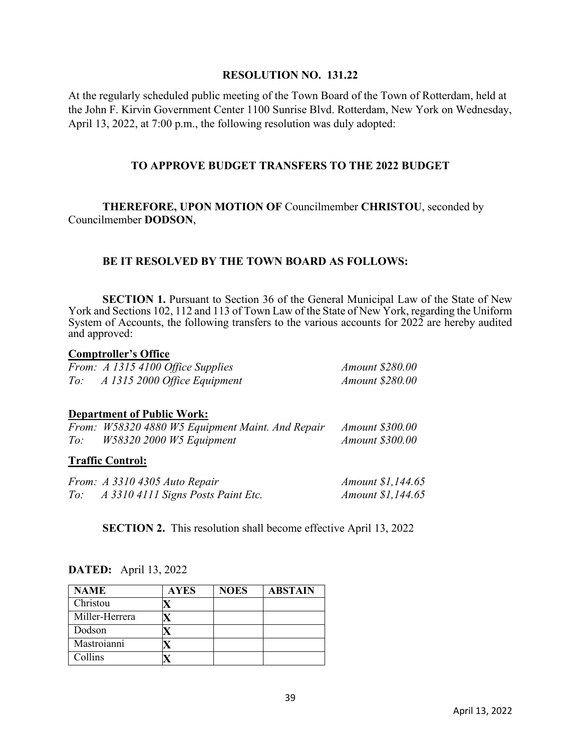#### **RESOLUTION NO. 131.22**

At the regularly scheduled public meeting of the Town Board of the Town of Rotterdam, held at the John F. Kirvin Government Center 1100 Sunrise Blvd. Rotterdam, New York on Wednesday, April 13, 2022, at 7:00 p.m., the following resolution was duly adopted:

### **TO APPROVE BUDGET TRANSFERS TO THE 2022 BUDGET**

 **THEREFORE, UPON MOTION OF** Councilmember **CHRISTOU**, seconded by Councilmember **DODSON**,

# **BE IT RESOLVED BY THE TOWN BOARD AS FOLLOWS:**

**SECTION 1.** Pursuant to Section 36 of the General Municipal Law of the State of New York and Sections 102, 112 and 113 of Town Law of the State of New York, regarding the Uniform System of Accounts, the following transfers to the various accounts for 2022 are hereby audited and approved:

#### **Comptroller's Office**

|     | From: A 1315 4100 Office Supplies | <i>Amount \$280.00</i> |
|-----|-----------------------------------|------------------------|
| To: | A 1315 2000 Office Equipment      | <i>Amount \$280.00</i> |

### **Department of Public Work:**

|     | From: W58320 4880 W5 Equipment Maint. And Repair | <i>Amount \$300.00</i> |
|-----|--------------------------------------------------|------------------------|
| To: | <i>W58320 2000 W5 Equipment</i>                  | <i>Amount \$300.00</i> |

### **Traffic Control:**

|     | From: A 3310 4305 Auto Repair      | <i>Amount \$1,144.65</i> |
|-----|------------------------------------|--------------------------|
| To: | A 3310 4111 Signs Posts Paint Etc. | <i>Amount \$1,144.65</i> |

**SECTION 2.** This resolution shall become effective April 13, 2022

| <b>NAME</b>    | <b>AYES</b> | <b>NOES</b> | <b>ABSTAIN</b> |
|----------------|-------------|-------------|----------------|
| Christou       |             |             |                |
| Miller-Herrera |             |             |                |
| Dodson         |             |             |                |
| Mastroianni    |             |             |                |
| Collins        |             |             |                |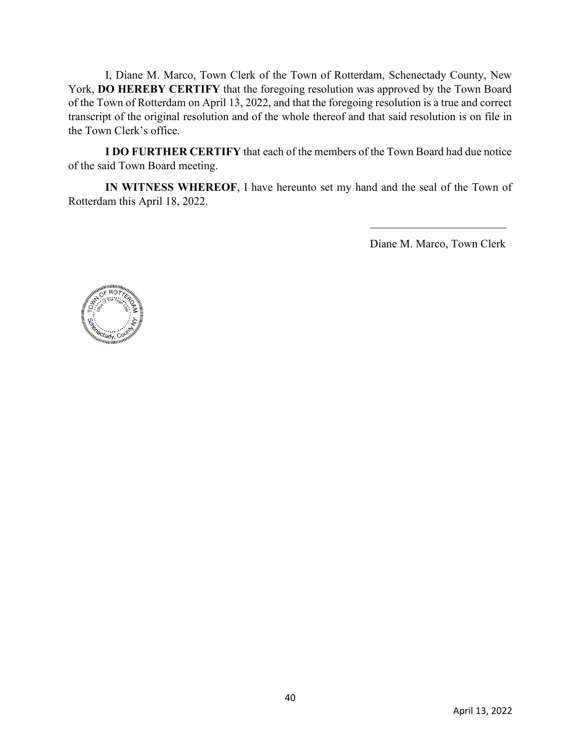**I DO FURTHER CERTIFY** that each of the members of the Town Board had due notice of the said Town Board meeting.

 **IN WITNESS WHEREOF**, I have hereunto set my hand and the seal of the Town of Rotterdam this April 18, 2022.

Diane M. Marco

 Diane M. Marco, Town Clerk Type text here

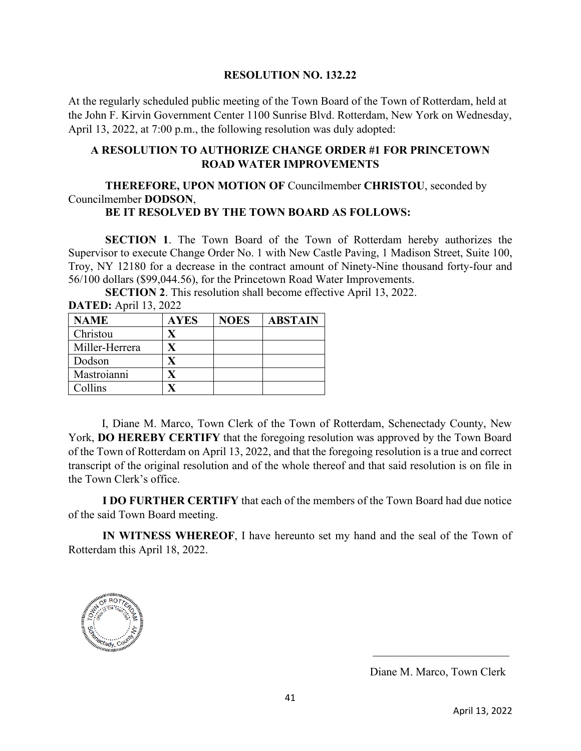#### **RESOLUTION NO. 132.22**

At the regularly scheduled public meeting of the Town Board of the Town of Rotterdam, held at the John F. Kirvin Government Center 1100 Sunrise Blvd. Rotterdam, New York on Wednesday, April 13, 2022, at 7:00 p.m., the following resolution was duly adopted:

#### **A RESOLUTION TO AUTHORIZE CHANGE ORDER #1 FOR PRINCETOWN ROAD WATER IMPROVEMENTS**

# **THEREFORE, UPON MOTION OF** Councilmember **CHRISTOU**, seconded by Councilmember **DODSON**,

# **BE IT RESOLVED BY THE TOWN BOARD AS FOLLOWS:**

 **SECTION 1**. The Town Board of the Town of Rotterdam hereby authorizes the Supervisor to execute Change Order No. 1 with New Castle Paving, 1 Madison Street, Suite 100, Troy, NY 12180 for a decrease in the contract amount of Ninety-Nine thousand forty-four and 56/100 dollars (\$99,044.56), for the Princetown Road Water Improvements.

**SECTION 2**. This resolution shall become effective April 13, 2022.

| <b>NAME</b>    | <b>AYES</b> | <b>NOES</b> | <b>ABSTAIN</b> |
|----------------|-------------|-------------|----------------|
| Christou       |             |             |                |
| Miller-Herrera | X           |             |                |
| Dodson         |             |             |                |
| Mastroianni    |             |             |                |
| Collins        |             |             |                |

**DATED:** April 13, 2022

 I, Diane M. Marco, Town Clerk of the Town of Rotterdam, Schenectady County, New York, **DO HEREBY CERTIFY** that the foregoing resolution was approved by the Town Board of the Town of Rotterdam on April 13, 2022, and that the foregoing resolution is a true and correct transcript of the original resolution and of the whole thereof and that said resolution is on file in the Town Clerk's office.

 **I DO FURTHER CERTIFY** that each of the members of the Town Board had due notice of the said Town Board meeting.

 **IN WITNESS WHEREOF**, I have hereunto set my hand and the seal of the Town of Rotterdam this April 18, 2022.



Diane M. Marco

Diane M. Marco, Town Clerk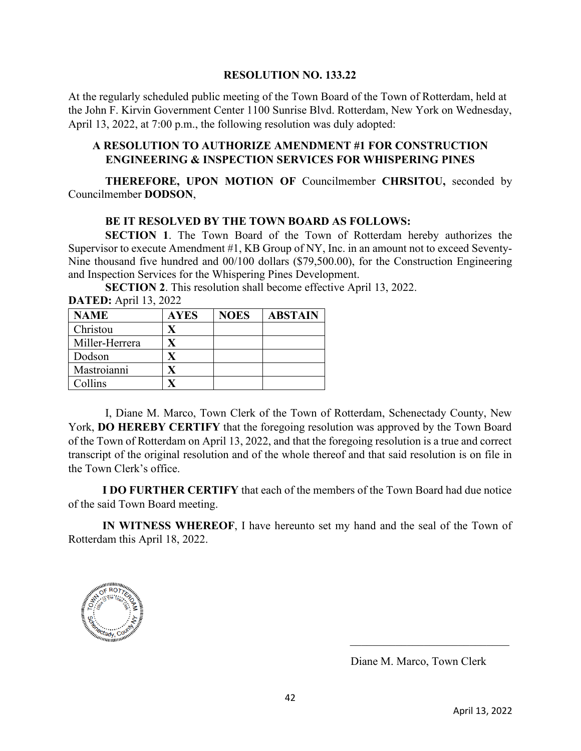#### **RESOLUTION NO. 133.22**

At the regularly scheduled public meeting of the Town Board of the Town of Rotterdam, held at the John F. Kirvin Government Center 1100 Sunrise Blvd. Rotterdam, New York on Wednesday, April 13, 2022, at 7:00 p.m., the following resolution was duly adopted:

# **A RESOLUTION TO AUTHORIZE AMENDMENT #1 FOR CONSTRUCTION ENGINEERING & INSPECTION SERVICES FOR WHISPERING PINES**

 **THEREFORE, UPON MOTION OF** Councilmember **CHRSITOU,** seconded by Councilmember **DODSON**,

# **BE IT RESOLVED BY THE TOWN BOARD AS FOLLOWS:**

**SECTION 1.** The Town Board of the Town of Rotterdam hereby authorizes the Supervisor to execute Amendment #1, KB Group of NY, Inc. in an amount not to exceed Seventy-Nine thousand five hundred and 00/100 dollars (\$79,500.00), for the Construction Engineering and Inspection Services for the Whispering Pines Development.

 **SECTION 2**. This resolution shall become effective April 13, 2022. **DATED:** April 13, 2022

| <b>NAME</b>    | <b>AYES</b> | <b>NOES</b> | <b>ABSTAIN</b> |
|----------------|-------------|-------------|----------------|
| Christou       |             |             |                |
| Miller-Herrera |             |             |                |
| Dodson         |             |             |                |
| Mastroianni    |             |             |                |
| Collins        |             |             |                |

 I, Diane M. Marco, Town Clerk of the Town of Rotterdam, Schenectady County, New York, **DO HEREBY CERTIFY** that the foregoing resolution was approved by the Town Board of the Town of Rotterdam on April 13, 2022, and that the foregoing resolution is a true and correct transcript of the original resolution and of the whole thereof and that said resolution is on file in the Town Clerk's office.

 **I DO FURTHER CERTIFY** that each of the members of the Town Board had due notice of the said Town Board meeting.

 **IN WITNESS WHEREOF**, I have hereunto set my hand and the seal of the Town of Rotterdam this April 18, 2022.



Diane M. Marco

Diane M. Marco, Town Clerk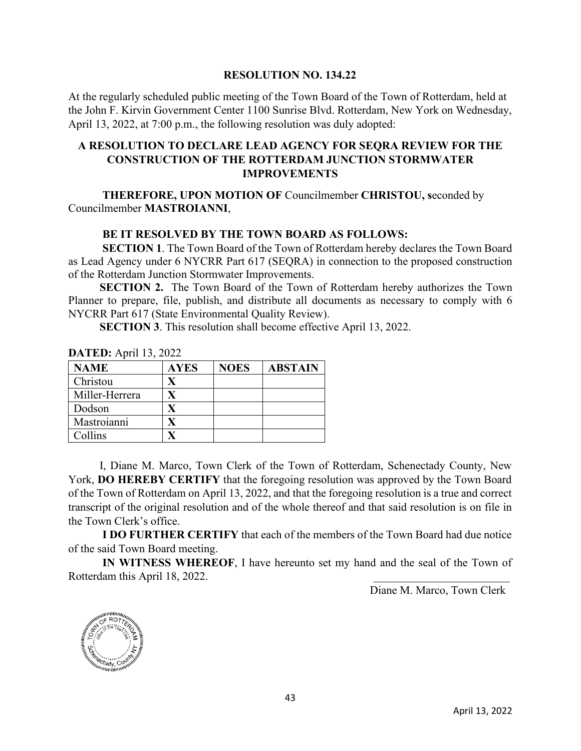#### **RESOLUTION NO. 134.22**

At the regularly scheduled public meeting of the Town Board of the Town of Rotterdam, held at the John F. Kirvin Government Center 1100 Sunrise Blvd. Rotterdam, New York on Wednesday, April 13, 2022, at 7:00 p.m., the following resolution was duly adopted:

# **A RESOLUTION TO DECLARE LEAD AGENCY FOR SEQRA REVIEW FOR THE CONSTRUCTION OF THE ROTTERDAM JUNCTION STORMWATER IMPROVEMENTS**

 **THEREFORE, UPON MOTION OF** Councilmember **CHRISTOU, s**econded by Councilmember **MASTROIANNI**,

# **BE IT RESOLVED BY THE TOWN BOARD AS FOLLOWS:**

 **SECTION 1**. The Town Board of the Town of Rotterdam hereby declares the Town Board as Lead Agency under 6 NYCRR Part 617 (SEQRA) in connection to the proposed construction of the Rotterdam Junction Stormwater Improvements.

**SECTION 2.** The Town Board of the Town of Rotterdam hereby authorizes the Town Planner to prepare, file, publish, and distribute all documents as necessary to comply with 6 NYCRR Part 617 (State Environmental Quality Review).

**SECTION 3**. This resolution shall become effective April 13, 2022.

| <b>NAME</b>    | <b>AYES</b> | <b>NOES</b> | <b>ABSTAIN</b> |
|----------------|-------------|-------------|----------------|
| Christou       |             |             |                |
| Miller-Herrera |             |             |                |
| Dodson         |             |             |                |
| Mastroianni    |             |             |                |
| Collins        |             |             |                |

**DATED:** April 13, 2022

 I, Diane M. Marco, Town Clerk of the Town of Rotterdam, Schenectady County, New York, **DO HEREBY CERTIFY** that the foregoing resolution was approved by the Town Board of the Town of Rotterdam on April 13, 2022, and that the foregoing resolution is a true and correct transcript of the original resolution and of the whole thereof and that said resolution is on file in the Town Clerk's office.

 **I DO FURTHER CERTIFY** that each of the members of the Town Board had due notice of the said Town Board meeting.

 **IN WITNESS WHEREOF**, I have hereunto set my hand and the seal of the Town of Rotterdam this April 18, 2022. *Diane M. Marco* 

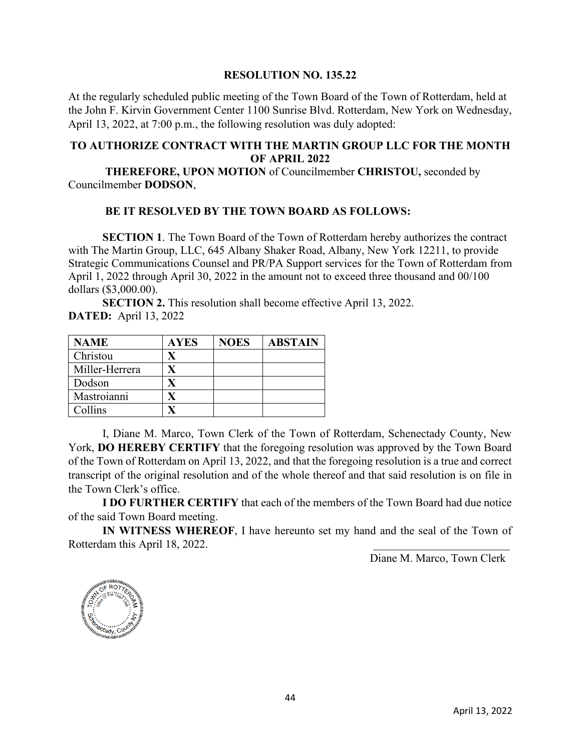### **RESOLUTION NO. 135.22**

At the regularly scheduled public meeting of the Town Board of the Town of Rotterdam, held at the John F. Kirvin Government Center 1100 Sunrise Blvd. Rotterdam, New York on Wednesday, April 13, 2022, at 7:00 p.m., the following resolution was duly adopted:

# **TO AUTHORIZE CONTRACT WITH THE MARTIN GROUP LLC FOR THE MONTH OF APRIL 2022**

 **THEREFORE, UPON MOTION** of Councilmember **CHRISTOU,** seconded by Councilmember **DODSON**,

# **BE IT RESOLVED BY THE TOWN BOARD AS FOLLOWS:**

**SECTION 1**. The Town Board of the Town of Rotterdam hereby authorizes the contract with The Martin Group, LLC, 645 Albany Shaker Road, Albany, New York 12211, to provide Strategic Communications Counsel and PR/PA Support services for the Town of Rotterdam from April 1, 2022 through April 30, 2022 in the amount not to exceed three thousand and 00/100 dollars (\$3,000.00).

**SECTION 2.** This resolution shall become effective April 13, 2022. **DATED:** April 13, 2022

| <b>NAME</b>    | <b>AYES</b> | <b>NOES</b> | <b>ABSTAIN</b> |
|----------------|-------------|-------------|----------------|
| Christou       |             |             |                |
| Miller-Herrera |             |             |                |
| Dodson         |             |             |                |
| Mastroianni    |             |             |                |
| Collins        |             |             |                |

 I, Diane M. Marco, Town Clerk of the Town of Rotterdam, Schenectady County, New York, **DO HEREBY CERTIFY** that the foregoing resolution was approved by the Town Board of the Town of Rotterdam on April 13, 2022, and that the foregoing resolution is a true and correct transcript of the original resolution and of the whole thereof and that said resolution is on file in the Town Clerk's office.

 **I DO FURTHER CERTIFY** that each of the members of the Town Board had due notice of the said Town Board meeting.

 **IN WITNESS WHEREOF**, I have hereunto set my hand and the seal of the Town of Rotterdam this April 18, 2022. *Diane M. Marco* 

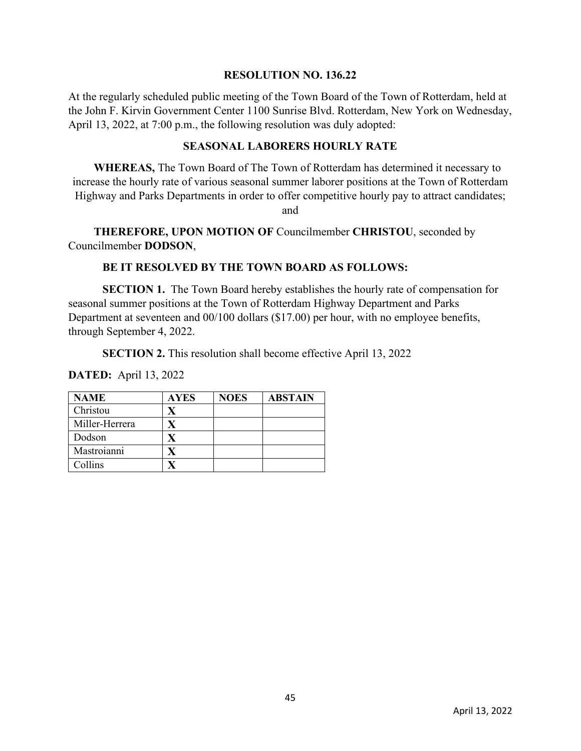#### **RESOLUTION NO. 136.22**

At the regularly scheduled public meeting of the Town Board of the Town of Rotterdam, held at the John F. Kirvin Government Center 1100 Sunrise Blvd. Rotterdam, New York on Wednesday, April 13, 2022, at 7:00 p.m., the following resolution was duly adopted:

# **SEASONAL LABORERS HOURLY RATE**

 **WHEREAS,** The Town Board of The Town of Rotterdam has determined it necessary to increase the hourly rate of various seasonal summer laborer positions at the Town of Rotterdam Highway and Parks Departments in order to offer competitive hourly pay to attract candidates;

and

 **THEREFORE, UPON MOTION OF** Councilmember **CHRISTOU**, seconded by Councilmember **DODSON**,

# **BE IT RESOLVED BY THE TOWN BOARD AS FOLLOWS:**

**SECTION 1.** The Town Board hereby establishes the hourly rate of compensation for seasonal summer positions at the Town of Rotterdam Highway Department and Parks Department at seventeen and 00/100 dollars (\$17.00) per hour, with no employee benefits, through September 4, 2022.

**SECTION 2.** This resolution shall become effective April 13, 2022

| <b>NAME</b>    | <b>AYES</b> | <b>NOES</b> | <b>ABSTAIN</b> |
|----------------|-------------|-------------|----------------|
| Christou       |             |             |                |
| Miller-Herrera |             |             |                |
| Dodson         |             |             |                |
| Mastroianni    |             |             |                |
| Collins        |             |             |                |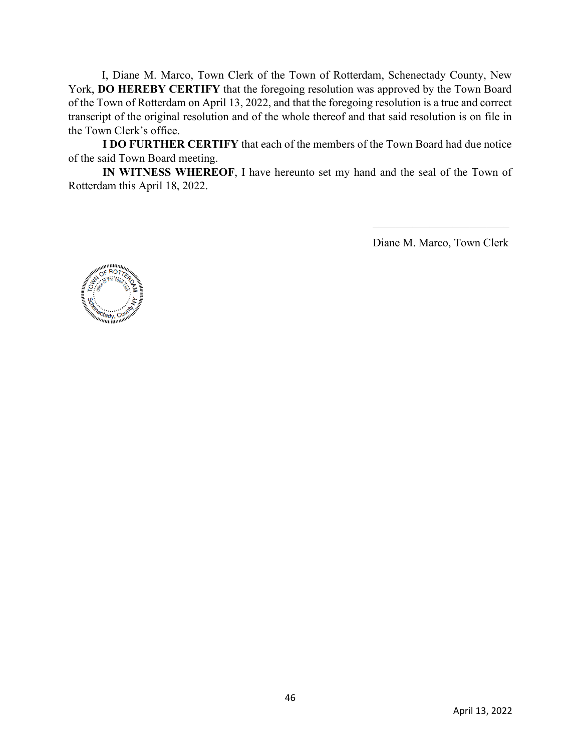**I DO FURTHER CERTIFY** that each of the members of the Town Board had due notice of the said Town Board meeting.

 **IN WITNESS WHEREOF**, I have hereunto set my hand and the seal of the Town of Rotterdam this April 18, 2022.

Diane M. Marco

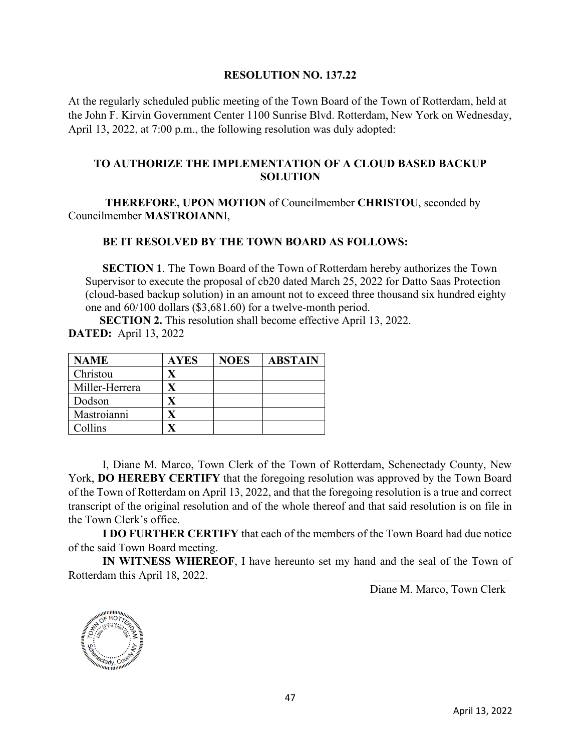#### **RESOLUTION NO. 137.22**

At the regularly scheduled public meeting of the Town Board of the Town of Rotterdam, held at the John F. Kirvin Government Center 1100 Sunrise Blvd. Rotterdam, New York on Wednesday, April 13, 2022, at 7:00 p.m., the following resolution was duly adopted:

# **TO AUTHORIZE THE IMPLEMENTATION OF A CLOUD BASED BACKUP SOLUTION**

 **THEREFORE, UPON MOTION** of Councilmember **CHRISTOU**, seconded by Councilmember **MASTROIANN**I,

### **BE IT RESOLVED BY THE TOWN BOARD AS FOLLOWS:**

**SECTION 1**. The Town Board of the Town of Rotterdam hereby authorizes the Town Supervisor to execute the proposal of cb20 dated March 25, 2022 for Datto Saas Protection (cloud-based backup solution) in an amount not to exceed three thousand six hundred eighty one and 60/100 dollars (\$3,681.60) for a twelve-month period.

**SECTION 2.** This resolution shall become effective April 13, 2022. **DATED:** April 13, 2022

| <b>NAME</b>    | <b>AYES</b> | <b>NOES</b> | <b>ABSTAIN</b> |
|----------------|-------------|-------------|----------------|
| Christou       |             |             |                |
| Miller-Herrera |             |             |                |
| Dodson         |             |             |                |
| Mastroianni    |             |             |                |
| Collins        |             |             |                |

 I, Diane M. Marco, Town Clerk of the Town of Rotterdam, Schenectady County, New York, **DO HEREBY CERTIFY** that the foregoing resolution was approved by the Town Board of the Town of Rotterdam on April 13, 2022, and that the foregoing resolution is a true and correct transcript of the original resolution and of the whole thereof and that said resolution is on file in the Town Clerk's office.

 **I DO FURTHER CERTIFY** that each of the members of the Town Board had due notice of the said Town Board meeting.

**IN WITNESS WHEREOF**, I have hereunto set my hand and the seal of the Town of am this April 18, 2022. Rotterdam this April 18, 2022.

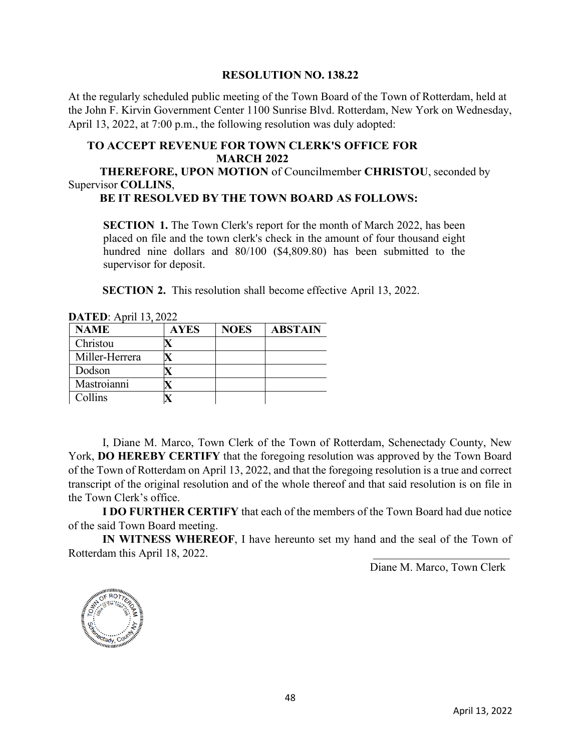#### **RESOLUTION NO. 138.22**

At the regularly scheduled public meeting of the Town Board of the Town of Rotterdam, held at the John F. Kirvin Government Center 1100 Sunrise Blvd. Rotterdam, New York on Wednesday, April 13, 2022, at 7:00 p.m., the following resolution was duly adopted:

### **TO ACCEPT REVENUE FOR TOWN CLERK'S OFFICE FOR MARCH 2022**

 **THEREFORE, UPON MOTION** of Councilmember **CHRISTOU**, seconded by Supervisor **COLLINS**,

# **BE IT RESOLVED BY THE TOWN BOARD AS FOLLOWS:**

**SECTION** 1. The Town Clerk's report for the month of March 2022, has been placed on file and the town clerk's check in the amount of four thousand eight hundred nine dollars and 80/100 (\$4,809.80) has been submitted to the supervisor for deposit.

**SECTION 2.** This resolution shall become effective April 13, 2022.

| <b>NAME</b>    | <b>AYES</b> | <b>NOES</b> | <b>ABSTAIN</b> |
|----------------|-------------|-------------|----------------|
| Christou       |             |             |                |
| Miller-Herrera |             |             |                |
| Dodson         |             |             |                |
| Mastroianni    |             |             |                |
| Collins        |             |             |                |

**DATED:** April 13, 2022

 I, Diane M. Marco, Town Clerk of the Town of Rotterdam, Schenectady County, New York, **DO HEREBY CERTIFY** that the foregoing resolution was approved by the Town Board of the Town of Rotterdam on April 13, 2022, and that the foregoing resolution is a true and correct transcript of the original resolution and of the whole thereof and that said resolution is on file in the Town Clerk's office.

 **I DO FURTHER CERTIFY** that each of the members of the Town Board had due notice of the said Town Board meeting.

 **IN WITNESS WHEREOF**, I have hereunto set my hand and the seal of the Town of Rotterdam this April 18, 2022. *Diane M. Marco* 

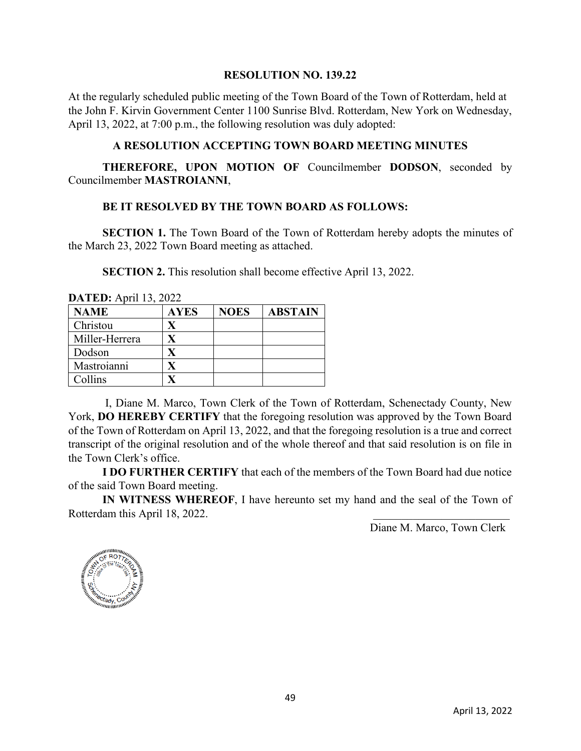#### **RESOLUTION NO. 139.22**

At the regularly scheduled public meeting of the Town Board of the Town of Rotterdam, held at the John F. Kirvin Government Center 1100 Sunrise Blvd. Rotterdam, New York on Wednesday, April 13, 2022, at 7:00 p.m., the following resolution was duly adopted:

### **A RESOLUTION ACCEPTING TOWN BOARD MEETING MINUTES**

 **THEREFORE, UPON MOTION OF** Councilmember **DODSON**, seconded by Councilmember **MASTROIANNI**,

### **BE IT RESOLVED BY THE TOWN BOARD AS FOLLOWS:**

**SECTION 1.** The Town Board of the Town of Rotterdam hereby adopts the minutes of the March 23, 2022 Town Board meeting as attached.

**SECTION 2.** This resolution shall become effective April 13, 2022.

| <b>DATED:</b> April 13, $2022$<br><b>NAME</b> | <b>AYES</b> | <b>NOES</b> | <b>ABSTAIN</b> |
|-----------------------------------------------|-------------|-------------|----------------|
| Christou                                      |             |             |                |
| Miller-Herrera                                |             |             |                |
| Dodson                                        | $\mathbf x$ |             |                |
| Mastroianni                                   |             |             |                |
| Collins                                       |             |             |                |

**DATED:** April 12, 2022

 I, Diane M. Marco, Town Clerk of the Town of Rotterdam, Schenectady County, New York, **DO HEREBY CERTIFY** that the foregoing resolution was approved by the Town Board of the Town of Rotterdam on April 13, 2022, and that the foregoing resolution is a true and correct transcript of the original resolution and of the whole thereof and that said resolution is on file in the Town Clerk's office.

 **I DO FURTHER CERTIFY** that each of the members of the Town Board had due notice of the said Town Board meeting.

 **IN WITNESS WHEREOF**, I have hereunto set my hand and the seal of the Town of Rotterdam this April 18, 2022. *Diane M. Marco* 

Diane M. Marco, Town Clerk



Type text here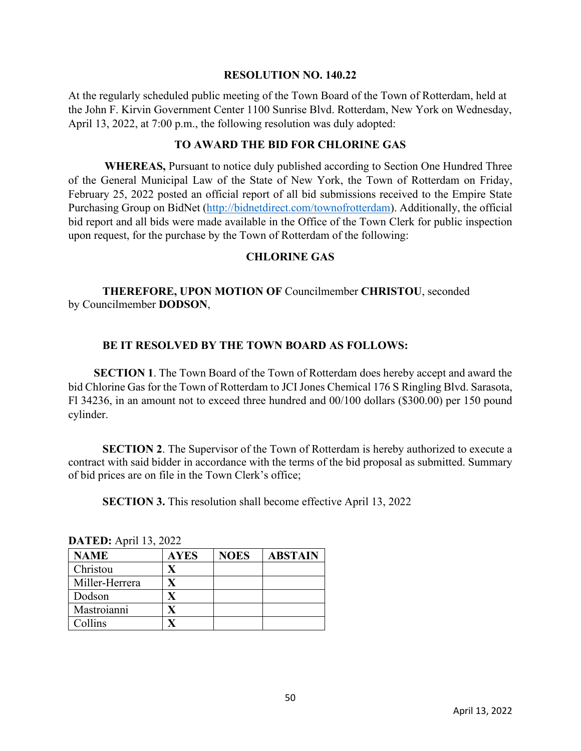#### **RESOLUTION NO. 140.22**

At the regularly scheduled public meeting of the Town Board of the Town of Rotterdam, held at the John F. Kirvin Government Center 1100 Sunrise Blvd. Rotterdam, New York on Wednesday, April 13, 2022, at 7:00 p.m., the following resolution was duly adopted:

# **TO AWARD THE BID FOR CHLORINE GAS**

**WHEREAS,** Pursuant to notice duly published according to Section One Hundred Three of the General Municipal Law of the State of New York, the Town of Rotterdam on Friday, February 25, 2022 posted an official report of all bid submissions received to the Empire State Purchasing Group on BidNet [\(http://bidnetdirect.com/townofrotterdam\)](http://bidnetdirect.com/townofrotterdam). Additionally, the official bid report and all bids were made available in the Office of the Town Clerk for public inspection upon request, for the purchase by the Town of Rotterdam of the following:

# **CHLORINE GAS**

# **THEREFORE, UPON MOTION OF** Councilmember **CHRISTOU**, seconded by Councilmember **DODSON**,

# **BE IT RESOLVED BY THE TOWN BOARD AS FOLLOWS:**

 **SECTION 1**. The Town Board of the Town of Rotterdam does hereby accept and award the bid Chlorine Gas for the Town of Rotterdam to JCI Jones Chemical 176 S Ringling Blvd. Sarasota, Fl 34236, in an amount not to exceed three hundred and 00/100 dollars (\$300.00) per 150 pound cylinder.

**SECTION 2.** The Supervisor of the Town of Rotterdam is hereby authorized to execute a contract with said bidder in accordance with the terms of the bid proposal as submitted. Summary of bid prices are on file in the Town Clerk's office;

**SECTION 3.** This resolution shall become effective April 13, 2022

| $\bm{D}$ <b>All<math>\bm{D}</math></b> , $\Delta$ piil 19, 2022 |             |             |                |  |  |
|-----------------------------------------------------------------|-------------|-------------|----------------|--|--|
| <b>NAME</b>                                                     | <b>AYES</b> | <b>NOES</b> | <b>ABSTAIN</b> |  |  |
| Christou                                                        | X           |             |                |  |  |
| Miller-Herrera                                                  |             |             |                |  |  |
| Dodson                                                          |             |             |                |  |  |
| Mastroianni                                                     | X           |             |                |  |  |
| Collins                                                         |             |             |                |  |  |

| <b>DATED:</b> April 13, 2022 |  |  |  |
|------------------------------|--|--|--|
|------------------------------|--|--|--|